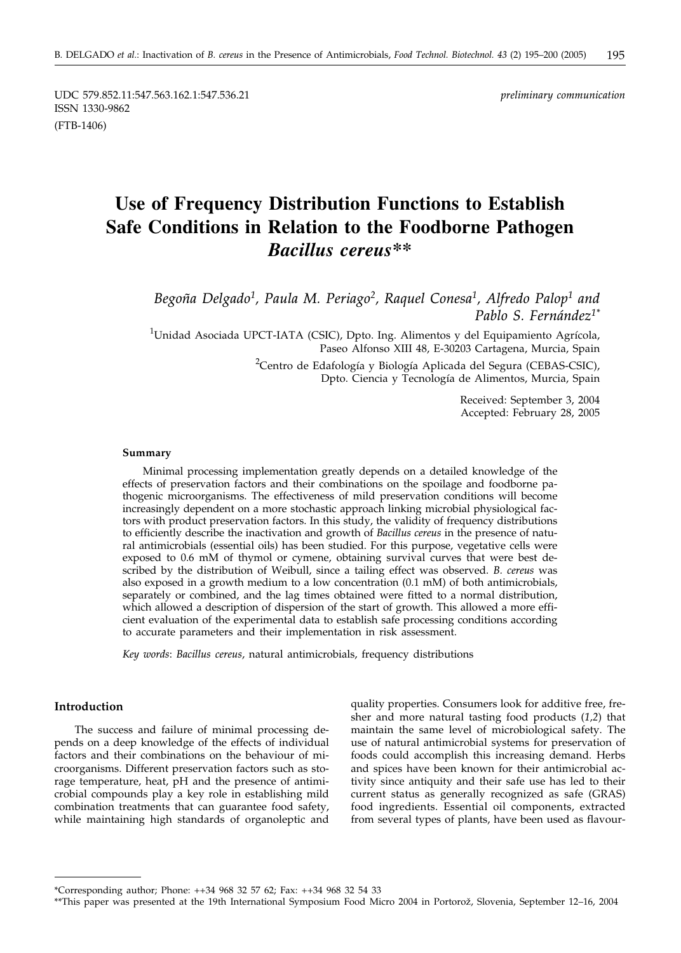UDC 579.852.11:547.563.162.1:547.536.21 *preliminary communication* ISSN 1330-9862 (FTB-1406)

# **Use of Frequency Distribution Functions to Establish Safe Conditions in Relation to the Foodborne Pathogen** *Bacillus cereus\*\**

*Begoña Delgado1, Paula M. Periago2, Raquel Conesa1, Alfredo Palop1 and Pablo S. Fernández1\**

<sup>1</sup>Unidad Asociada UPCT-IATA (CSIC), Dpto. Ing. Alimentos y del Equipamiento Agrícola, Paseo Alfonso XIII 48, E-30203 Cartagena, Murcia, Spain

<sup>2</sup>Centro de Edafología y Biología Aplicada del Segura (CEBAS-CSIC), Dpto. Ciencia y Tecnología de Alimentos, Murcia, Spain

> Received: September 3, 2004 Accepted: February 28, 2005

#### **Summary**

Minimal processing implementation greatly depends on a detailed knowledge of the effects of preservation factors and their combinations on the spoilage and foodborne pathogenic microorganisms. The effectiveness of mild preservation conditions will become increasingly dependent on a more stochastic approach linking microbial physiological factors with product preservation factors. In this study, the validity of frequency distributions to efficiently describe the inactivation and growth of *Bacillus cereus* in the presence of natural antimicrobials (essential oils) has been studied. For this purpose, vegetative cells were exposed to 0.6 mM of thymol or cymene, obtaining survival curves that were best described by the distribution of Weibull, since a tailing effect was observed. *B. cereus* was also exposed in a growth medium to a low concentration (0.1 mM) of both antimicrobials, separately or combined, and the lag times obtained were fitted to a normal distribution, which allowed a description of dispersion of the start of growth. This allowed a more efficient evaluation of the experimental data to establish safe processing conditions according to accurate parameters and their implementation in risk assessment.

*Key words*: *Bacillus cereus*, natural antimicrobials, frequency distributions

#### **Introduction**

The success and failure of minimal processing depends on a deep knowledge of the effects of individual factors and their combinations on the behaviour of microorganisms. Different preservation factors such as storage temperature, heat, pH and the presence of antimicrobial compounds play a key role in establishing mild combination treatments that can guarantee food safety, while maintaining high standards of organoleptic and

quality properties. Consumers look for additive free, fresher and more natural tasting food products (*1,2*) that maintain the same level of microbiological safety. The use of natural antimicrobial systems for preservation of foods could accomplish this increasing demand. Herbs and spices have been known for their antimicrobial activity since antiquity and their safe use has led to their current status as generally recognized as safe (GRAS) food ingredients. Essential oil components, extracted from several types of plants, have been used as flavour-

<sup>\*</sup>Corresponding author; Phone: ++34 968 32 57 62; Fax: ++34 968 32 54 33

<sup>\*\*</sup>This paper was presented at the 19th International Symposium Food Micro 2004 in Portorož, Slovenia, September 12–16, 2004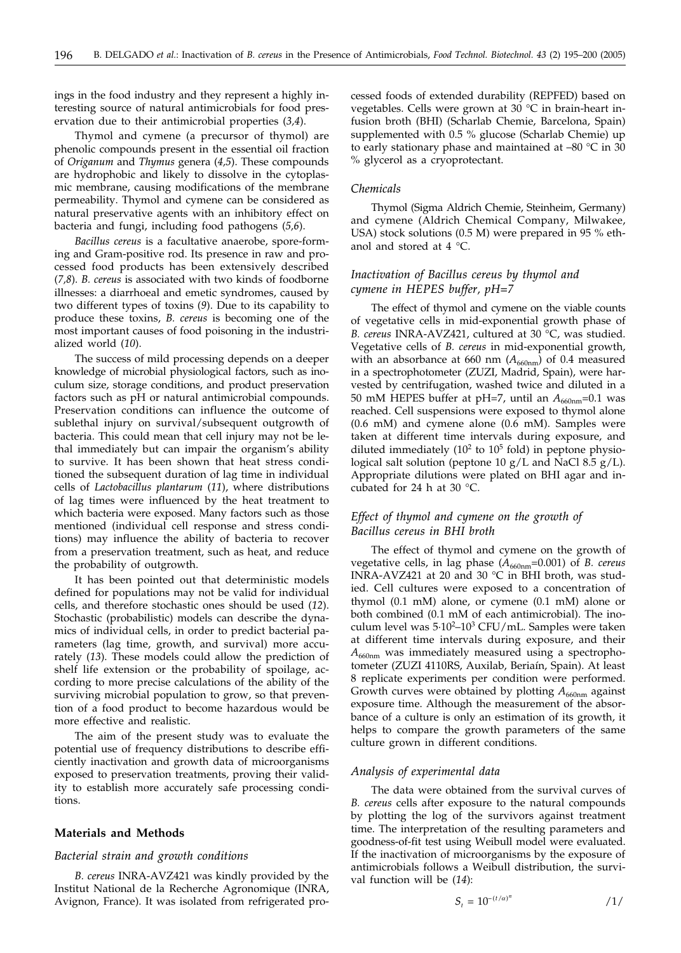ings in the food industry and they represent a highly interesting source of natural antimicrobials for food preservation due to their antimicrobial properties (*3,4*).

Thymol and cymene (a precursor of thymol) are phenolic compounds present in the essential oil fraction of *Origanum* and *Thymus* genera (*4,5*). These compounds are hydrophobic and likely to dissolve in the cytoplasmic membrane, causing modifications of the membrane permeability. Thymol and cymene can be considered as natural preservative agents with an inhibitory effect on bacteria and fungi, including food pathogens (*5,6*).

*Bacillus cereus* is a facultative anaerobe, spore-forming and Gram-positive rod. Its presence in raw and processed food products has been extensively described (*7,8*). *B. cereus* is associated with two kinds of foodborne illnesses: a diarrhoeal and emetic syndromes, caused by two different types of toxins (*9*). Due to its capability to produce these toxins, *B. cereus* is becoming one of the most important causes of food poisoning in the industrialized world (*10*).

The success of mild processing depends on a deeper knowledge of microbial physiological factors, such as inoculum size, storage conditions, and product preservation factors such as pH or natural antimicrobial compounds. Preservation conditions can influence the outcome of sublethal injury on survival/subsequent outgrowth of bacteria. This could mean that cell injury may not be lethal immediately but can impair the organism's ability to survive. It has been shown that heat stress conditioned the subsequent duration of lag time in individual cells of *Lactobacillus plantarum* (*11*), where distributions of lag times were influenced by the heat treatment to which bacteria were exposed. Many factors such as those mentioned (individual cell response and stress conditions) may influence the ability of bacteria to recover from a preservation treatment, such as heat, and reduce the probability of outgrowth.

It has been pointed out that deterministic models defined for populations may not be valid for individual cells, and therefore stochastic ones should be used (*12*). Stochastic (probabilistic) models can describe the dynamics of individual cells, in order to predict bacterial parameters (lag time, growth, and survival) more accurately (*13*). These models could allow the prediction of shelf life extension or the probability of spoilage, according to more precise calculations of the ability of the surviving microbial population to grow, so that prevention of a food product to become hazardous would be more effective and realistic.

The aim of the present study was to evaluate the potential use of frequency distributions to describe efficiently inactivation and growth data of microorganisms exposed to preservation treatments, proving their validity to establish more accurately safe processing conditions.

# **Materials and Methods**

#### *Bacterial strain and growth conditions*

*B. cereus* INRA-AVZ421 was kindly provided by the Institut National de la Recherche Agronomique (INRA, Avignon, France). It was isolated from refrigerated processed foods of extended durability (REPFED) based on vegetables. Cells were grown at 30 °C in brain-heart infusion broth (BHI) (Scharlab Chemie, Barcelona, Spain) supplemented with 0.5 % glucose (Scharlab Chemie) up to early stationary phase and maintained at –80 °C in 30 % glycerol as a cryoprotectant.

# *Chemicals*

Thymol (Sigma Aldrich Chemie, Steinheim, Germany) and cymene (Aldrich Chemical Company, Milwakee, USA) stock solutions (0.5 M) were prepared in 95 % ethanol and stored at 4 °C.

# *Inactivation of Bacillus cereus by thymol and cymene in HEPES buffer, pH=7*

The effect of thymol and cymene on the viable counts of vegetative cells in mid-exponential growth phase of *B. cereus* INRA-AVZ421, cultured at 30 °C, was studied. Vegetative cells of *B. cereus* in mid-exponential growth, with an absorbance at 660 nm  $(A_{660nm})$  of 0.4 measured in a spectrophotometer (ZUZI, Madrid, Spain), were harvested by centrifugation, washed twice and diluted in a 50 mM HEPES buffer at pH=7, until an  $A_{660nm}$ =0.1 was reached. Cell suspensions were exposed to thymol alone (0.6 mM) and cymene alone (0.6 mM). Samples were taken at different time intervals during exposure, and diluted immediately  $(10^2 \text{ to } 10^5 \text{ fold})$  in peptone physiological salt solution (peptone 10 g/L and NaCl 8.5 g/L). Appropriate dilutions were plated on BHI agar and incubated for 24 h at 30 °C.

# *Effect of thymol and cymene on the growth of Bacillus cereus in BHI broth*

The effect of thymol and cymene on the growth of vegetative cells, in lag phase ( $A_{660nm}$ =0.001) of *B. cereus* INRA-AVZ421 at 20 and 30 °C in BHI broth, was studied. Cell cultures were exposed to a concentration of thymol (0.1 mM) alone, or cymene (0.1 mM) alone or both combined (0.1 mM of each antimicrobial). The inoculum level was 5·10<sup>2</sup>-10<sup>3</sup> CFU/mL. Samples were taken at different time intervals during exposure, and their  $A_{660nm}$  was immediately measured using a spectrophotometer (ZUZI 4110RS, Auxilab, Beriaín, Spain). At least 8 replicate experiments per condition were performed. Growth curves were obtained by plotting  $A_{660nm}$  against exposure time. Although the measurement of the absorbance of a culture is only an estimation of its growth, it helps to compare the growth parameters of the same culture grown in different conditions.

#### *Analysis of experimental data*

The data were obtained from the survival curves of *B. cereus* cells after exposure to the natural compounds by plotting the log of the survivors against treatment time. The interpretation of the resulting parameters and goodness-of-fit test using Weibull model were evaluated. If the inactivation of microorganisms by the exposure of antimicrobials follows a Weibull distribution, the survival function will be (*14*):

$$
S_t = 10^{-(t/\alpha)^n} \tag{1/}
$$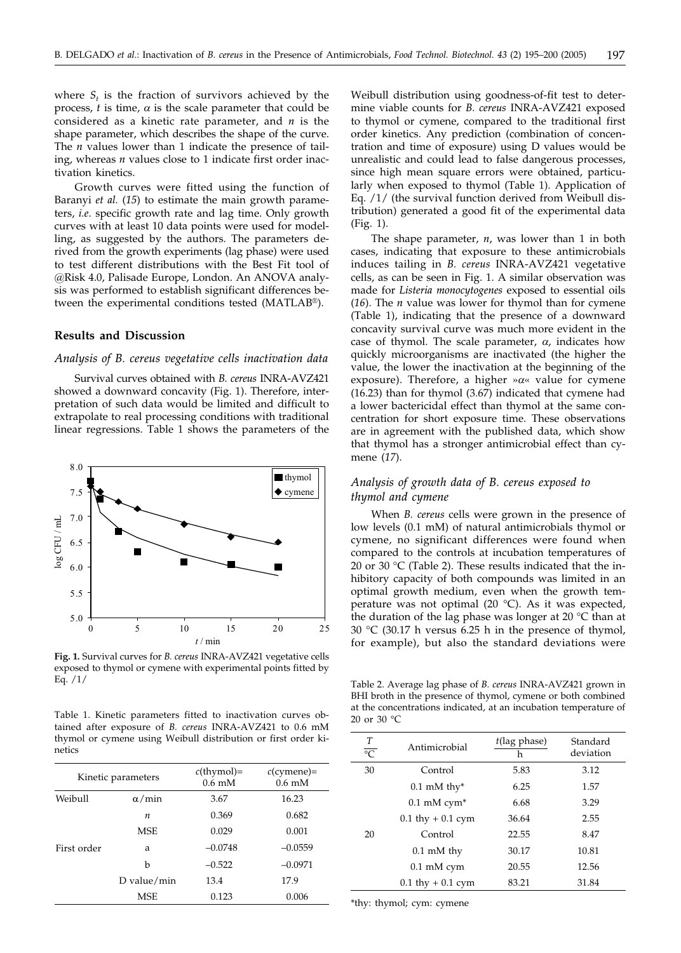where  $S_t$  is the fraction of survivors achieved by the process,  $t$  is time,  $\alpha$  is the scale parameter that could be considered as a kinetic rate parameter, and *n* is the shape parameter, which describes the shape of the curve. The *n* values lower than 1 indicate the presence of tailing, whereas *n* values close to 1 indicate first order inactivation kinetics.

Growth curves were fitted using the function of Baranyi *et al.* (*15*) to estimate the main growth parameters, *i.e*. specific growth rate and lag time. Only growth curves with at least 10 data points were used for modelling, as suggested by the authors. The parameters derived from the growth experiments (lag phase) were used to test different distributions with the Best Fit tool of @Risk 4.0, Palisade Europe, London. An ANOVA analysis was performed to establish significant differences between the experimental conditions tested (MATLAB®).

# **Results and Discussion**

#### *Analysis of B. cereus vegetative cells inactivation data*

Survival curves obtained with *B. cereus* INRA-AVZ421 showed a downward concavity (Fig. 1). Therefore, interpretation of such data would be limited and difficult to extrapolate to real processing conditions with traditional linear regressions. Table 1 shows the parameters of the



**Fig. 1.** Survival curves for *B. cereus* INRA-AVZ421 vegetative cells exposed to thymol or cymene with experimental points fitted by Eq. /1/

Table 1. Kinetic parameters fitted to inactivation curves obtained after exposure of *B. cereus* INRA-AVZ421 to 0.6 mM thymol or cymene using Weibull distribution or first order kinetics

| Kinetic parameters |               | $c$ (thymol)=<br>$0.6 \text{ mM}$ | $c$ (cymene)=<br>$0.6 \text{ mM}$ |
|--------------------|---------------|-----------------------------------|-----------------------------------|
| Weibull            | $\alpha$ /min | 3.67                              | 16.23                             |
|                    | n             | 0.369                             | 0.682                             |
|                    | <b>MSE</b>    | 0.029                             | 0.001                             |
| First order        | a             | $-0.0748$                         | $-0.0559$                         |
|                    | h             | $-0.522$                          | $-0.0971$                         |
|                    | D value/min   | 13.4                              | 17.9                              |
|                    | MSE           | 0.123                             | 0.006                             |

Weibull distribution using goodness-of-fit test to determine viable counts for *B. cereus* INRA-AVZ421 exposed to thymol or cymene, compared to the traditional first order kinetics. Any prediction (combination of concentration and time of exposure) using D values would be unrealistic and could lead to false dangerous processes, since high mean square errors were obtained, particularly when exposed to thymol (Table 1). Application of Eq. /1/ (the survival function derived from Weibull distribution) generated a good fit of the experimental data (Fig. 1).

The shape parameter, *n*, was lower than 1 in both cases, indicating that exposure to these antimicrobials induces tailing in *B. cereus* INRA-AVZ421 vegetative cells, as can be seen in Fig. 1. A similar observation was made for *Listeria monocytogenes* exposed to essential oils (*16*). The *n* value was lower for thymol than for cymene (Table 1), indicating that the presence of a downward concavity survival curve was much more evident in the case of thymol. The scale parameter,  $\alpha$ , indicates how quickly microorganisms are inactivated (the higher the value, the lower the inactivation at the beginning of the exposure). Therefore, a higher  $\alpha$ <sup>«</sup> value for cymene (16.23) than for thymol (3.67) indicated that cymene had a lower bactericidal effect than thymol at the same concentration for short exposure time. These observations are in agreement with the published data, which show that thymol has a stronger antimicrobial effect than cymene (*17*).

# *Analysis of growth data of B. cereus exposed to thymol and cymene*

When *B. cereus* cells were grown in the presence of low levels (0.1 mM) of natural antimicrobials thymol or cymene, no significant differences were found when compared to the controls at incubation temperatures of 20 or 30 °C (Table 2). These results indicated that the inhibitory capacity of both compounds was limited in an optimal growth medium, even when the growth temperature was not optimal (20 $\degree$ C). As it was expected, the duration of the lag phase was longer at 20 °C than at 30 °C (30.17 h versus 6.25 h in the presence of thymol, for example), but also the standard deviations were

Table 2. Average lag phase of *B. cereus* INRA-AVZ421 grown in BHI broth in the presence of thymol, cymene or both combined at the concentrations indicated, at an incubation temperature of 20 or 30 °C

| $\frac{T}{\circ C}$ | Antimicrobial                     | $t$ (lag phase)<br>h | Standard<br>deviation |
|---------------------|-----------------------------------|----------------------|-----------------------|
| 30                  | Control                           | 5.83                 | 3.12                  |
|                     | $0.1 \text{ mM}$ thy <sup>*</sup> | 6.25                 | 1.57                  |
|                     | $0.1$ mM cym <sup>*</sup>         | 6.68                 | 3.29                  |
|                     | $0.1$ thy $+0.1$ cym              | 36.64                | 2.55                  |
| 20                  | Control                           | 22.55                | 8.47                  |
|                     | $0.1 \text{ mM}$ thy              | 30.17                | 10.81                 |
|                     | $0.1$ mM cym                      | 20.55                | 12.56                 |
|                     | $0.1$ thy $+0.1$ cym              | 83.21                | 31.84                 |

\*thy: thymol; cym: cymene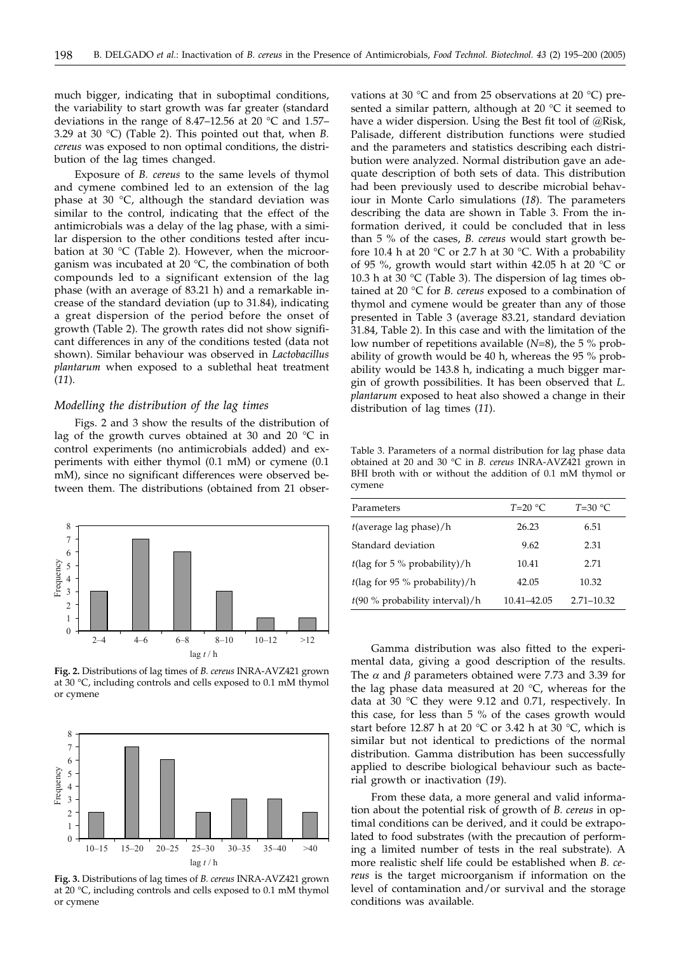much bigger, indicating that in suboptimal conditions, the variability to start growth was far greater (standard deviations in the range of 8.47–12.56 at 20 °C and 1.57– 3.29 at 30 °C) (Table 2). This pointed out that, when *B. cereus* was exposed to non optimal conditions, the distribution of the lag times changed.

Exposure of *B. cereus* to the same levels of thymol and cymene combined led to an extension of the lag phase at 30 °C, although the standard deviation was similar to the control, indicating that the effect of the antimicrobials was a delay of the lag phase, with a similar dispersion to the other conditions tested after incubation at 30 °C (Table 2). However, when the microorganism was incubated at 20 °C, the combination of both compounds led to a significant extension of the lag phase (with an average of 83.21 h) and a remarkable increase of the standard deviation (up to 31.84), indicating a great dispersion of the period before the onset of growth (Table 2). The growth rates did not show significant differences in any of the conditions tested (data not shown). Similar behaviour was observed in *Lactobacillus plantarum* when exposed to a sublethal heat treatment (*11*).

#### *Modelling the distribution of the lag times*

Figs. 2 and 3 show the results of the distribution of lag of the growth curves obtained at 30 and 20 °C in control experiments (no antimicrobials added) and experiments with either thymol (0.1 mM) or cymene (0.1 mM), since no significant differences were observed between them. The distributions (obtained from 21 obser-



**Fig. 2.** Distributions of lag times of *B. cereus* INRA-AVZ421 grown at 30 °C, including controls and cells exposed to 0.1 mM thymol or cymene



**Fig. 3.** Distributions of lag times of *B. cereus* INRA-AVZ421 grown at 20 °C, including controls and cells exposed to 0.1 mM thymol or cymene

vations at 30  $\degree$ C and from 25 observations at 20  $\degree$ C) presented a similar pattern, although at 20 °C it seemed to have a wider dispersion. Using the Best fit tool of @Risk, Palisade, different distribution functions were studied and the parameters and statistics describing each distribution were analyzed. Normal distribution gave an adequate description of both sets of data. This distribution had been previously used to describe microbial behaviour in Monte Carlo simulations (*18*). The parameters describing the data are shown in Table 3. From the information derived, it could be concluded that in less than 5 % of the cases, *B. cereus* would start growth before 10.4 h at 20  $\degree$ C or 2.7 h at 30  $\degree$ C. With a probability of 95 %, growth would start within 42.05 h at 20 °C or 10.3 h at 30 °C (Table 3). The dispersion of lag times obtained at 20 °C for *B. cereus* exposed to a combination of thymol and cymene would be greater than any of those presented in Table 3 (average 83.21, standard deviation 31.84, Table 2). In this case and with the limitation of the low number of repetitions available (*N*=8), the 5 % probability of growth would be 40 h, whereas the 95 % probability would be 143.8 h, indicating a much bigger margin of growth possibilities. It has been observed that *L. plantarum* exposed to heat also showed a change in their distribution of lag times (*11*).

Table 3. Parameters of a normal distribution for lag phase data obtained at 20 and 30 °C in *B. cereus* INRA-AVZ421 grown in BHI broth with or without the addition of 0.1 mM thymol or cymene

| Parameters                                       | $T=20$ °C.  | $T=30$ °C      |
|--------------------------------------------------|-------------|----------------|
| $t$ (average lag phase)/h                        | 26.23       | 6.51           |
| Standard deviation                               | 9.62        | 2.31           |
| $t(\text{lag for } 5 \% \text{ probability})/h$  | 10.41       | 2.71           |
| $t(\text{lag for } 95 \% \text{ probability})/h$ | 42.05       | 10.32          |
| $t(90 %$ probability interval)/h                 | 10.41-42.05 | $2.71 - 10.32$ |

Gamma distribution was also fitted to the experimental data, giving a good description of the results. The  $\alpha$  and  $\beta$  parameters obtained were 7.73 and 3.39 for the lag phase data measured at 20 $\degree$ C, whereas for the data at 30 °C they were 9.12 and 0.71, respectively. In this case, for less than 5 % of the cases growth would start before 12.87 h at 20 °C or 3.42 h at 30 °C, which is similar but not identical to predictions of the normal distribution. Gamma distribution has been successfully applied to describe biological behaviour such as bacterial growth or inactivation (*19*).

From these data, a more general and valid information about the potential risk of growth of *B. cereus* in optimal conditions can be derived, and it could be extrapolated to food substrates (with the precaution of performing a limited number of tests in the real substrate). A more realistic shelf life could be established when *B. cereus* is the target microorganism if information on the level of contamination and/or survival and the storage conditions was available.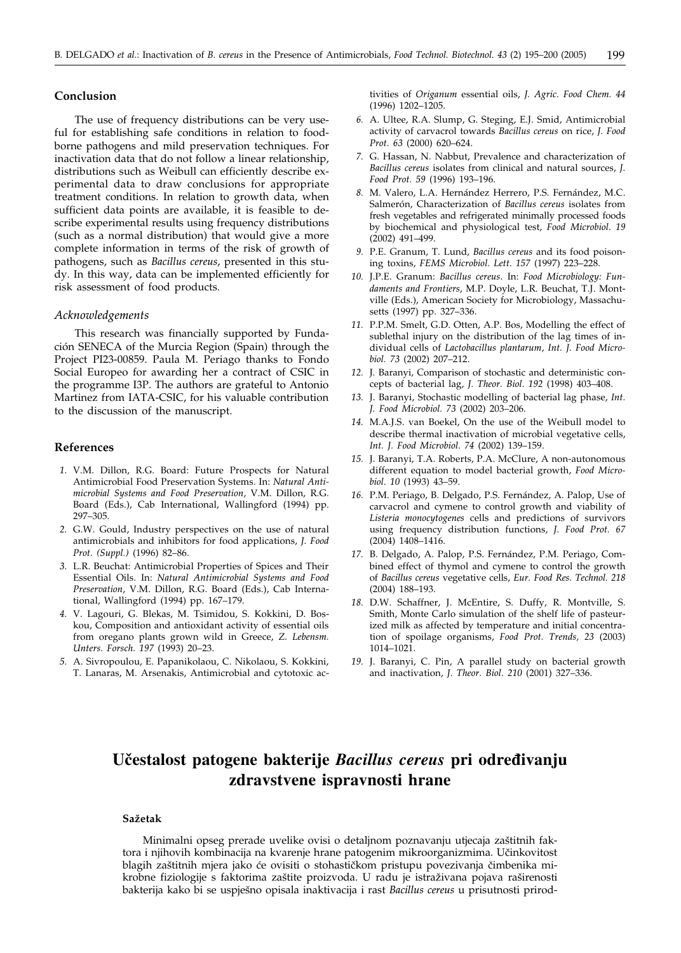# **Conclusion**

The use of frequency distributions can be very useful for establishing safe conditions in relation to foodborne pathogens and mild preservation techniques. For inactivation data that do not follow a linear relationship, distributions such as Weibull can efficiently describe experimental data to draw conclusions for appropriate treatment conditions. In relation to growth data, when sufficient data points are available, it is feasible to describe experimental results using frequency distributions (such as a normal distribution) that would give a more complete information in terms of the risk of growth of pathogens, such as *Bacillus cereus*, presented in this study. In this way, data can be implemented efficiently for risk assessment of food products.

#### *Acknowledgements*

This research was financially supported by Fundación SENECA of the Murcia Region (Spain) through the Project PI23-00859. Paula M. Periago thanks to Fondo Social Europeo for awarding her a contract of CSIC in the programme I3P. The authors are grateful to Antonio Martinez from IATA-CSIC, for his valuable contribution to the discussion of the manuscript.

# **References**

- *1.* V.M. Dillon, R.G. Board: Future Prospects for Natural Antimicrobial Food Preservation Systems. In: *Natural Antimicrobial Systems and Food Preservation*, V.M. Dillon, R.G. Board (Eds.), Cab International, Wallingford (1994) pp. 297–305.
- *2.* G.W. Gould, Industry perspectives on the use of natural antimicrobials and inhibitors for food applications, *J. Food Prot. (Suppl.)* (1996) 82–86.
- *3.* L.R. Beuchat: Antimicrobial Properties of Spices and Their Essential Oils. In: *Natural Antimicrobial Systems and Food Preservation*, V.M. Dillon, R.G. Board (Eds.), Cab International, Wallingford (1994) pp. 167–179.
- *4.* V. Lagouri, G. Blekas, M. Tsimidou, S. Kokkini, D. Boskou, Composition and antioxidant activity of essential oils from oregano plants grown wild in Greece, *Z. Lebensm. Unters. Forsch. 197* (1993) 20–23.
- *5.* A. Sivropoulou, E. Papanikolaou, C. Nikolaou, S. Kokkini, T. Lanaras, M. Arsenakis, Antimicrobial and cytotoxic ac-

tivities of *Origanum* essential oils, *J. Agric. Food Chem. 44* (1996) 1202–1205.

- *6.* A. Ultee, R.A. Slump, G. Steging, E.J. Smid, Antimicrobial activity of carvacrol towards *Bacillus cereus* on rice, *J. Food Prot*. *63* (2000) 620–624.
- *7.* G. Hassan, N. Nabbut, Prevalence and characterization of *Bacillus cereus* isolates from clinical and natural sources, *J. Food Prot. 59* (1996) 193–196.
- *8.* M. Valero, L.A. Hernández Herrero, P.S. Fernández, M.C. Salmerón, Characterization of *Bacillus cereus* isolates from fresh vegetables and refrigerated minimally processed foods by biochemical and physiological test, *Food Microbiol*. *19* (2002) 491–499.
- *9.* P.E. Granum, T. Lund, *Bacillus cereus* and its food poisoning toxins, *FEMS Microbiol. Lett*. *157* (1997) 223–228.
- *10.* J.P.E. Granum: *Bacillus cereus*. In: *Food Microbiology: Fundaments and Frontiers*, M.P. Doyle, L.R. Beuchat, T.J. Montville (Eds.), American Society for Microbiology, Massachusetts (1997) pp. 327–336.
- *11.* P.P.M. Smelt, G.D. Otten, A.P. Bos, Modelling the effect of sublethal injury on the distribution of the lag times of individual cells of *Lactobacillus plantarum*, *Int. J. Food Microbiol. 73* (2002) 207–212.
- *12.* J. Baranyi, Comparison of stochastic and deterministic concepts of bacterial lag, *J. Theor. Biol. 192* (1998) 403–408.
- *13.* J. Baranyi, Stochastic modelling of bacterial lag phase, *Int. J. Food Microbiol. 73* (2002) 203–206*.*
- *14.* M.A.J.S. van Boekel, On the use of the Weibull model to describe thermal inactivation of microbial vegetative cells, *Int. J. Food Microbiol*. *74* (2002) 139–159.
- *15.* J. Baranyi, T.A. Roberts, P.A. McClure, A non-autonomous different equation to model bacterial growth, *Food Microbiol*. *10* (1993) 43–59.
- *16.* P.M. Periago, B. Delgado, P.S. Fernández, A. Palop, Use of carvacrol and cymene to control growth and viability of *Listeria monocytogenes* cells and predictions of survivors using frequency distribution functions, *J. Food Prot. 67* (2004) 1408–1416.
- *17.* B. Delgado, A. Palop, P.S. Fernández, P.M. Periago, Combined effect of thymol and cymene to control the growth of *Bacillus cereus* vegetative cells, *Eur. Food Res. Technol. 218* (2004) 188–193.
- *18.* D.W. Schaffner, J. McEntire, S. Duffy, R. Montville, S. Smith, Monte Carlo simulation of the shelf life of pasteurized milk as affected by temperature and initial concentration of spoilage organisms, *Food Prot. Trends, 23* (2003) 1014–1021.
- *19.* J. Baranyi, C. Pin, A parallel study on bacterial growth and inactivation, *J. Theor. Biol*. *210* (2001) 327–336.

# **U~estalost patogene bakterije** *Bacillus cereus* **pri odre|ivanju zdravstvene ispravnosti hrane**

#### **Sa`etak**

Minimalni opseg prerade uvelike ovisi o detaljnom poznavanju utjecaja za{titnih faktora i njihovih kombinacija na kvarenje hrane patogenim mikroorganizmima. Učinkovitost blagih zaštitnih mjera jako će ovisiti o stohastičkom pristupu povezivanja čimbenika mikrobne fiziologije s faktorima zaštite proizvoda. U radu je istraživana pojava raširenosti bakterija kako bi se uspje{no opisala inaktivacija i rast *Bacillus cereus* u prisutnosti prirod